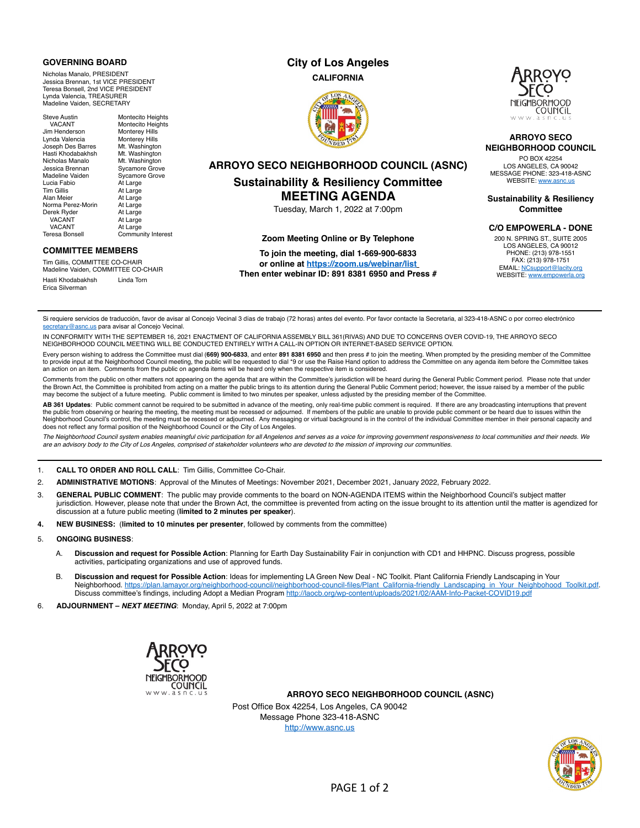### **GOVERNING BOARD**

Nicholas Manalo, PRESIDENT Jessica Brennan, 1st VICE PRESIDENT Teresa Bonsell, 2nd VICE PRESIDENT Lynda Valencia, TREASURER Madeline Vaiden, SECRETARY

Steve Austin Montecito Heights<br>
VACANT Montecito Heights Montecito Heights<br>Monterey Hills Jim Henderson Monterey Hills Lynda Valencia **Monterey Hills**<br>Joseph Des Barres Mt. Washington Joseph Des Barres<br>Hasti Khodabakhsh Mt. Washington<br>Mt. Washington Nicholas Manalo Mt. Washington<br>Jessica Brennan Sycamore Grove Jessica Brennan<br>Madeline Vaiden Sycamore Grove<br>At Large Lucia Fabio<br>Tim Gillis Tim Gillis At Large<br>Alan Meier At Large At Large<br>At Large Norma Perez-Morin At Large<br>Derek Ryder At Large Derek Ryder<br>VACANT VACANT At Large<br>VACANT At Large VACANT At Large<br>Teresa Bonsell Commur Community Interest

## **COMMITTEE MEMBERS**

Tim Gillis, COMMITTEE CO-CHAIR Madeline Vaiden, COMMITTEE CO-CHAIR Hasti Khodabakhsh Linda Torn Erica Silverman

# **City of Los Angeles**

**CALIFORNIA**





## **ARROYO SECO NEIGHBORHOOD COUNCIL**

PO BOX 42254 LOS ANGELES, CA 90042 MESSAGE PHONE: 323-418-ASNC WEBSITE: [www.asnc.us](http://www.asnc.us/)

**Sustainability & Resiliency Committee** 

## **C/O EMPOWERLA - DONE**

200 N. SPRING ST., SUITE 2005 LOS ANGELES, CA 90012 PHONE: (213) 978-1551 FAX: (213) 978-1751 EMAIL: [NCsupport@lacity.org](mailto:NCsupport@lacity.org) WEBSITE: [www.empowerla.org](http://www.empowerla.org/)

**ARROYO SECO NEIGHBORHOOD COUNCIL (ASNC)**

# **Sustainability & Resiliency Committee MEETING AGENDA**

Tuesday, March 1, 2022 at 7:00pm

#### **Zoom Meeting Online or By Telephone**

**To join the meeting, dial 1-669-900-6833 or online at <https://zoom.us/webinar/list> Then enter webinar ID: 891 8381 6950 and Press #**

Si requiere servicios de traducción, favor de avisar al Concejo Vecinal 3 días de trabajo (72 horas) antes del evento. Por favor contacte la Secretaria, al 323-418-ASNC o por correo electrónico tary@asnc.us para avisar al Concejo Vecinal

IN CONFORMITY WITH THE SEPTEMBER 16, 2021 ENACTMENT OF CALIFORNIA ASSEMBLY BILL 361(RIVAS) AND DUE TO CONCERNS OVER COVID-19, THE ARROYO SECO NEIGHBORHOOD COUNCIL MEETING WILL BE CONDUCTED ENTIRELY WITH A CALL-IN OPTION OR INTERNET-BASED SERVICE OPTION.

Every person wishing to address the Committee must dial (**669) 900-6833**, and enter **891 8381 6950** and then press # to join the meeting. When prompted by the presiding member of the Committee<br>to provide input at the Neigh an action on an item. Comments from the public on agenda items will be heard only when the respective item is considered.

Comments from the public on other matters not appearing on the agenda that are within the Committee's jurisdiction will be heard during the General Public Comment period. Please note that under the Brown Act, the Committee is prohibited from acting on a matter the public brings to its attention during the General Public Comment period; however, the issue raised by a member of the public may become the subject of a future meeting. Public comment is limited to two minutes per speaker, unless adjusted by the presiding member of the Committee.

**AB 361 Updates**: Public comment cannot be required to be submitted in advance of the meeting, only real-time public comment is required. If there are any broadcasting interruptions that prevent<br>the public from observing o Neighborhood Council's control, the meeting must be recessed or adjourned. Any messaging or virtual background is in the control of the individual Committee member in their personal capacity and does not reflect any formal position of the Neighborhood Council or the City of Los Angeles.

*The Neighborhood Council system enables meaningful civic participation for all Angelenos and serves as a voice for improving government responsiveness to local communities and their needs. We are an advisory body to the City of Los Angeles, comprised of stakeholder volunteers who are devoted to the mission of improving our communities.*

1. **CALL TO ORDER AND ROLL CALL**: Tim Gillis, Committee Co-Chair.

- 2. **ADMINISTRATIVE MOTIONS**: Approval of the Minutes of Meetings: November 2021, December 2021, January 2022, February 2022.
- 3. **GENERAL PUBLIC COMMENT**: The public may provide comments to the board on NON-AGENDA ITEMS within the Neighborhood Council's subject matter jurisdiction. However, please note that under the Brown Act, the committee is prevented from acting on the issue brought to its attention until the matter is agendized for discussion at a future public meeting (**limited to 2 minutes per speaker**).
- **4. NEW BUSINESS:** (**limited to 10 minutes per presenter**, followed by comments from the committee)
- 5. **ONGOING BUSINESS**:
	- A. **Discussion and request for Possible Action**: Planning for Earth Day Sustainability Fair in conjunction with CD1 and HHPNC. Discuss progress, possible activities, participating organizations and use of approved funds.
	- B. **Discussion and request for Possible Action**: Ideas for implementing LA Green New Deal NC Toolkit. Plant California Friendly Landscaping in Your Neighborhood. [https://plan.lamayor.org/neighborhood-council/neighborhood-council-files/Plant\\_California-friendly\\_Landscaping\\_in\\_Your\\_Neighbohood\\_Toolkit.pdf.](https://plan.lamayor.org/neighborhood-council/neighborhood-council-files/Plant_California-friendly_Landscaping_in_Your_Neighbohood_Toolkit.pdf) Discuss committee's findings, including Adopt a Median Program<http://laocb.org/wp-content/uploads/2021/02/AAM-Info-Packet-COVID19.pdf>

6. **ADJOURNMENT –** *NEXT MEETING*: Monday, April 5, 2022 at 7:00pm



**ARROYO SECO NEIGHBORHOOD COUNCIL (ASNC)**

Post Office Box 42254, Los Angeles, CA 90042 Message Phone 323-418-ASNC <http://www.asnc.us>